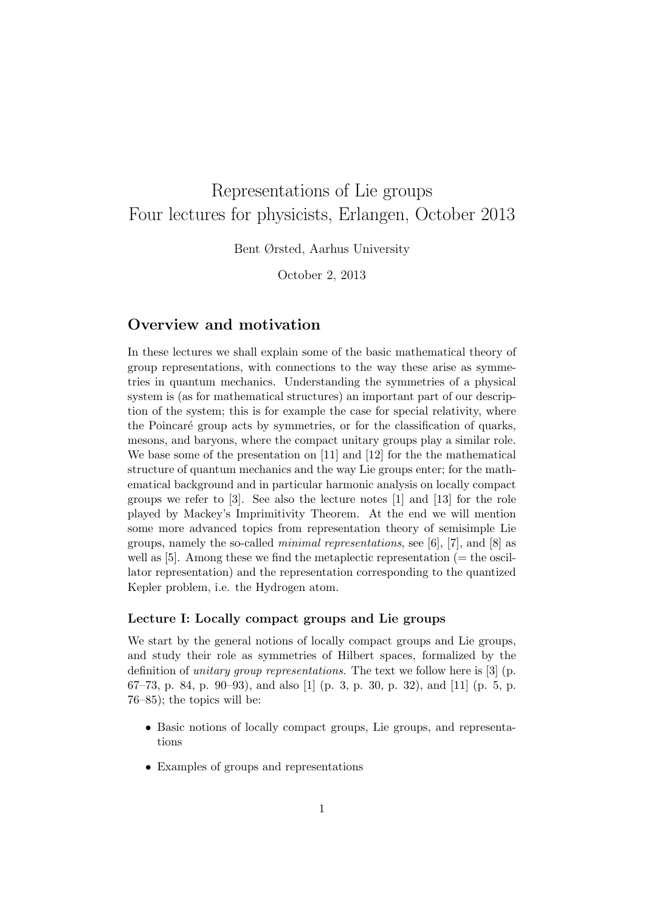# Representations of Lie groups Four lectures for physicists, Erlangen, October 2013

Bent Ørsted, Aarhus University

October 2, 2013

# Overview and motivation

In these lectures we shall explain some of the basic mathematical theory of group representations, with connections to the way these arise as symmetries in quantum mechanics. Understanding the symmetries of a physical system is (as for mathematical structures) an important part of our description of the system; this is for example the case for special relativity, where the Poincaré group acts by symmetries, or for the classification of quarks, mesons, and baryons, where the compact unitary groups play a similar role. We base some of the presentation on [11] and [12] for the the mathematical structure of quantum mechanics and the way Lie groups enter; for the mathematical background and in particular harmonic analysis on locally compact groups we refer to [3]. See also the lecture notes [1] and [13] for the role played by Mackey's Imprimitivity Theorem. At the end we will mention some more advanced topics from representation theory of semisimple Lie groups, namely the so-called *minimal representations*, see [6], [7], and [8] as well as  $[5]$ . Among these we find the metaplectic representation ( $=$  the oscillator representation) and the representation corresponding to the quantized Kepler problem, i.e. the Hydrogen atom.

#### Lecture I: Locally compact groups and Lie groups

We start by the general notions of locally compact groups and Lie groups, and study their role as symmetries of Hilbert spaces, formalized by the definition of unitary group representations. The text we follow here is [3] (p. 67–73, p. 84, p. 90–93), and also [1] (p. 3, p. 30, p. 32), and [11] (p. 5, p. 76–85); the topics will be:

- Basic notions of locally compact groups, Lie groups, and representations
- Examples of groups and representations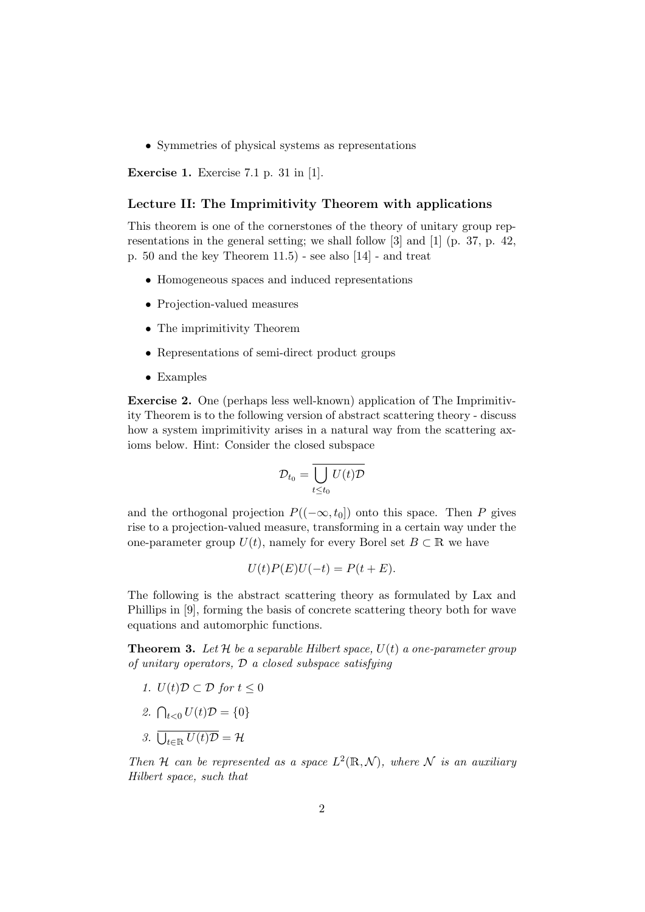• Symmetries of physical systems as representations

Exercise 1. Exercise 7.1 p. 31 in [1].

#### Lecture II: The Imprimitivity Theorem with applications

This theorem is one of the cornerstones of the theory of unitary group representations in the general setting; we shall follow [3] and [1] (p. 37, p. 42, p. 50 and the key Theorem 11.5) - see also [14] - and treat

- Homogeneous spaces and induced representations
- Projection-valued measures
- The imprimitivity Theorem
- Representations of semi-direct product groups
- Examples

Exercise 2. One (perhaps less well-known) application of The Imprimitivity Theorem is to the following version of abstract scattering theory - discuss how a system imprimitivity arises in a natural way from the scattering axioms below. Hint: Consider the closed subspace

$$
\mathcal{D}_{t_0} = \overline{\bigcup_{t \le t_0} U(t)\mathcal{D}}
$$

and the orthogonal projection  $P((-\infty, t_0])$  onto this space. Then P gives rise to a projection-valued measure, transforming in a certain way under the one-parameter group  $U(t)$ , namely for every Borel set  $B \subset \mathbb{R}$  we have

$$
U(t)P(E)U(-t) = P(t+E).
$$

The following is the abstract scattering theory as formulated by Lax and Phillips in [9], forming the basis of concrete scattering theory both for wave equations and automorphic functions.

**Theorem 3.** Let H be a separable Hilbert space,  $U(t)$  a one-parameter group of unitary operators,  $\mathcal D$  a closed subspace satisfying

- 1.  $U(t)\mathcal{D} \subset \mathcal{D}$  for  $t \leq 0$
- 2.  $\bigcap_{t < 0} U(t) \mathcal{D} = \{0\}$
- 3.  $\bigcup_{t \in \mathbb{R}} U(t)\mathcal{D} = \mathcal{H}$

Then H can be represented as a space  $L^2(\mathbb{R}, \mathcal{N})$ , where N is an auxiliary Hilbert space, such that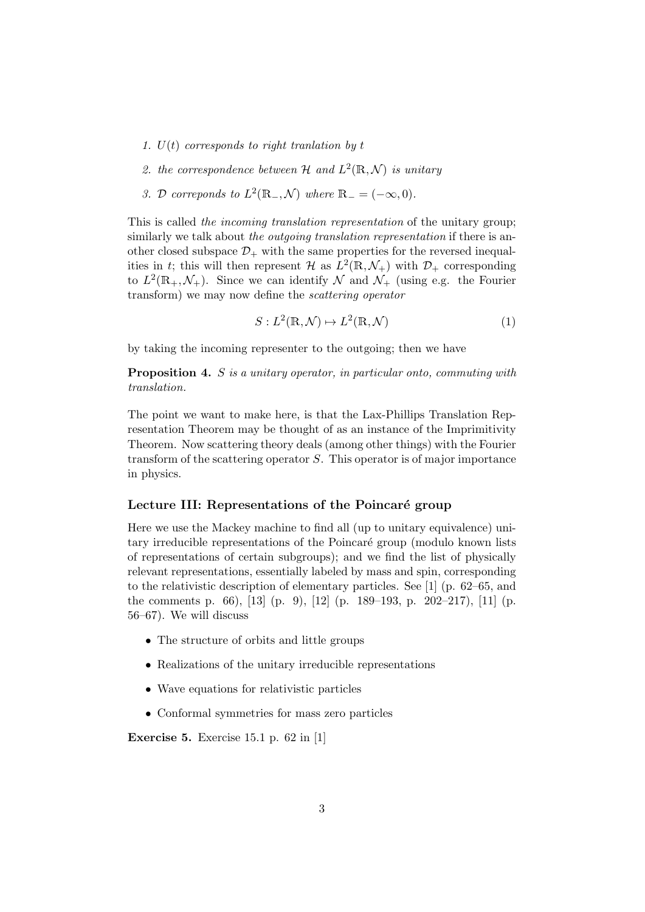- 1.  $U(t)$  corresponds to right translation by t
- 2. the correspondence between H and  $L^2(\mathbb{R}, \mathcal{N})$  is unitary
- 3. D correponds to  $L^2(\mathbb{R}_-, \mathcal{N})$  where  $\mathbb{R}_- = (-\infty, 0)$ .

This is called the incoming translation representation of the unitary group; similarly we talk about the *outgoing translation representation* if there is another closed subspace  $\mathcal{D}_+$  with the same properties for the reversed inequalities in t; this will then represent  $\mathcal{H}$  as  $L^2(\mathbb{R}, \mathcal{N}_+)$  with  $\mathcal{D}_+$  corresponding to  $L^2(\mathbb{R}_+,\mathcal{N}_+)$ . Since we can identify  $\mathcal N$  and  $\mathcal N_+$  (using e.g. the Fourier transform) we may now define the scattering operator

$$
S: L^{2}(\mathbb{R}, \mathcal{N}) \mapsto L^{2}(\mathbb{R}, \mathcal{N})
$$
 (1)

by taking the incoming representer to the outgoing; then we have

Proposition 4. S is a unitary operator, in particular onto, commuting with translation.

The point we want to make here, is that the Lax-Phillips Translation Representation Theorem may be thought of as an instance of the Imprimitivity Theorem. Now scattering theory deals (among other things) with the Fourier transform of the scattering operator S. This operator is of major importance in physics.

## Lecture III: Representations of the Poincaré group

Here we use the Mackey machine to find all (up to unitary equivalence) unitary irreducible representations of the Poincaré group (modulo known lists of representations of certain subgroups); and we find the list of physically relevant representations, essentially labeled by mass and spin, corresponding to the relativistic description of elementary particles. See [1] (p. 62–65, and the comments p. 66), [13] (p. 9), [12] (p. 189–193, p. 202–217), [11] (p. 56–67). We will discuss

- The structure of orbits and little groups
- Realizations of the unitary irreducible representations
- Wave equations for relativistic particles
- Conformal symmetries for mass zero particles

Exercise 5. Exercise 15.1 p. 62 in [1]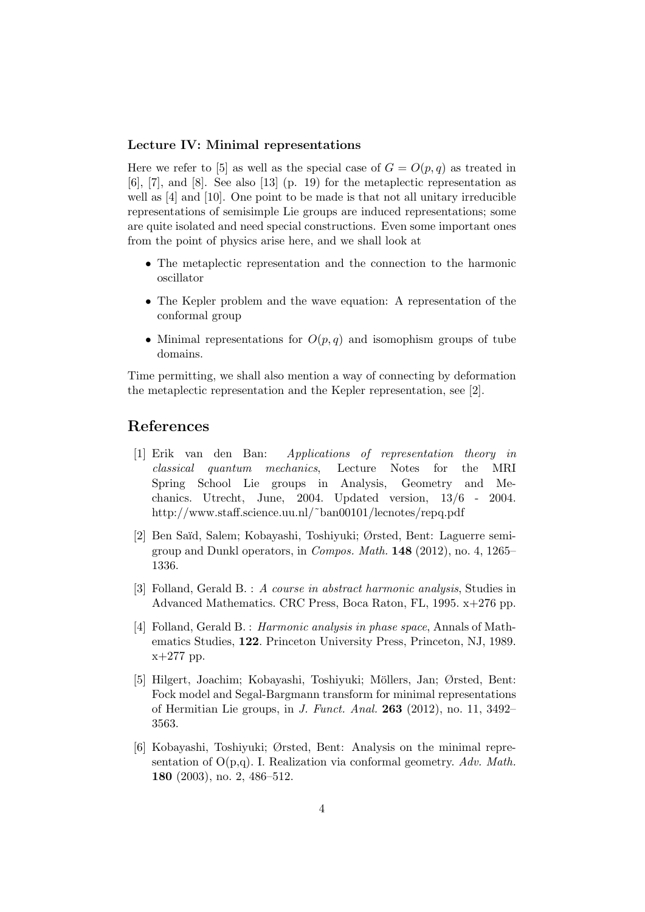## Lecture IV: Minimal representations

Here we refer to [5] as well as the special case of  $G = O(p, q)$  as treated in [6], [7], and [8]. See also [13] (p. 19) for the metaplectic representation as well as [4] and [10]. One point to be made is that not all unitary irreducible representations of semisimple Lie groups are induced representations; some are quite isolated and need special constructions. Even some important ones from the point of physics arise here, and we shall look at

- The metaplectic representation and the connection to the harmonic oscillator
- The Kepler problem and the wave equation: A representation of the conformal group
- Minimal representations for  $O(p,q)$  and isomophism groups of tube domains.

Time permitting, we shall also mention a way of connecting by deformation the metaplectic representation and the Kepler representation, see [2].

## References

- [1] Erik van den Ban: Applications of representation theory in classical quantum mechanics, Lecture Notes for the MRI Spring School Lie groups in Analysis, Geometry and Mechanics. Utrecht, June, 2004. Updated version, 13/6 - 2004. http://www.staff.science.uu.nl/~ban00101/lecnotes/repq.pdf
- [2] Ben Sa¨ıd, Salem; Kobayashi, Toshiyuki; Ørsted, Bent: Laguerre semigroup and Dunkl operators, in Compos. Math. 148 (2012), no. 4, 1265– 1336.
- [3] Folland, Gerald B. : A course in abstract harmonic analysis, Studies in Advanced Mathematics. CRC Press, Boca Raton, FL, 1995. x+276 pp.
- [4] Folland, Gerald B. : Harmonic analysis in phase space, Annals of Mathematics Studies, 122. Princeton University Press, Princeton, NJ, 1989. x+277 pp.
- [5] Hilgert, Joachim; Kobayashi, Toshiyuki; Möllers, Jan; Ørsted, Bent: Fock model and Segal-Bargmann transform for minimal representations of Hermitian Lie groups, in J. Funct. Anal. 263 (2012), no. 11, 3492– 3563.
- [6] Kobayashi, Toshiyuki; Ørsted, Bent: Analysis on the minimal representation of  $O(p,q)$ . I. Realization via conformal geometry. Adv. Math. 180 (2003), no. 2, 486–512.